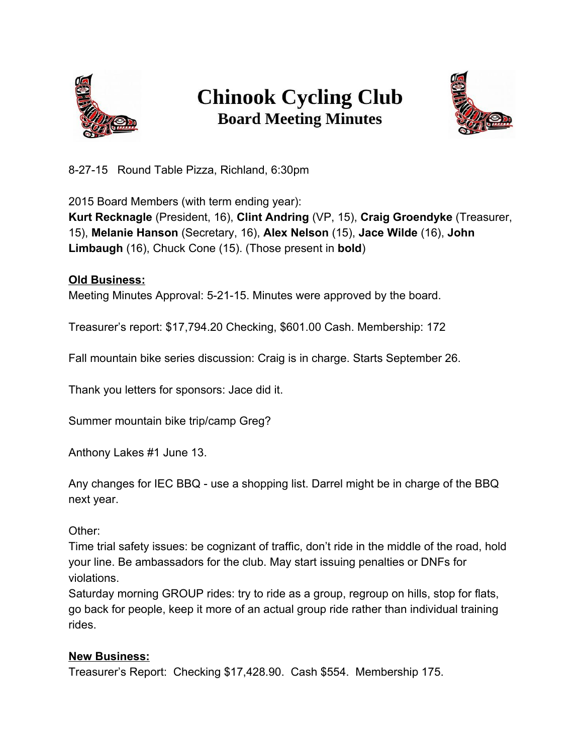

## **Chinook Cycling Club Board Meeting Minutes**



82715 Round Table Pizza, Richland, 6:30pm

2015 Board Members (with term ending year):

**Kurt Recknagle**(President, 16), **Clint Andring**(VP, 15), **Craig Groendyke**(Treasurer, 15), **Melanie Hanson**(Secretary, 16), **Alex Nelson**(15), **Jace Wilde**(16), **John Limbaugh**(16), Chuck Cone (15). (Those present in **bold**)

## **Old Business:**

Meeting Minutes Approval: 5-21-15. Minutes were approved by the board.

Treasurer's report: \$17,794.20 Checking, \$601.00 Cash. Membership: 172

Fall mountain bike series discussion: Craig is in charge. Starts September 26.

Thank you letters for sponsors: Jace did it.

Summer mountain bike trip/camp Greg?

Anthony Lakes #1 June 13.

Any changes for IEC BBQ - use a shopping list. Darrel might be in charge of the BBQ next year.

Other:

Time trial safety issues: be cognizant of traffic, don't ride in the middle of the road, hold your line. Be ambassadors for the club. May start issuing penalties or DNFs for violations.

Saturday morning GROUP rides: try to ride as a group, regroup on hills, stop for flats, go back for people, keep it more of an actual group ride rather than individual training rides.

## **New Business:**

Treasurer's Report: Checking \$17,428.90. Cash \$554. Membership 175.